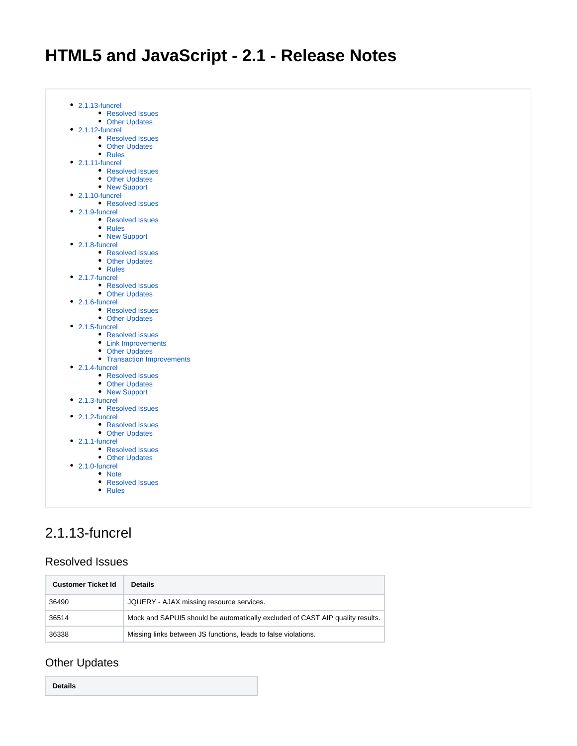

# <span id="page-0-0"></span>2.1.13-funcrel

#### <span id="page-0-1"></span>Resolved Issues

| <b>Customer Ticket Id</b> | <b>Details</b>                                                                |
|---------------------------|-------------------------------------------------------------------------------|
| 36490                     | JQUERY - AJAX missing resource services.                                      |
| 36514                     | Mock and SAPUI5 should be automatically excluded of CAST AIP quality results. |
| 36338                     | Missing links between JS functions, leads to false violations.                |

## <span id="page-0-2"></span>Other Updates

**Details**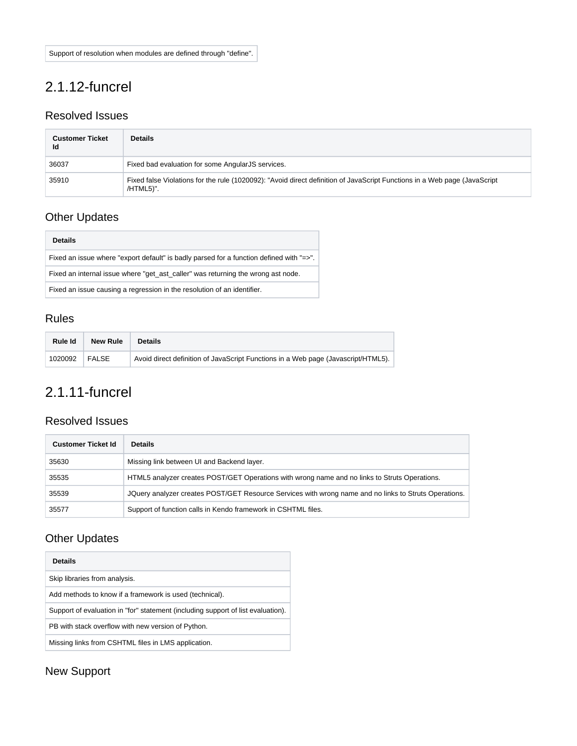# <span id="page-1-0"></span>2.1.12-funcrel

### <span id="page-1-1"></span>Resolved Issues

| <b>Customer Ticket</b><br>Id | <b>Details</b>                                                                                                                         |
|------------------------------|----------------------------------------------------------------------------------------------------------------------------------------|
| 36037                        | Fixed bad evaluation for some AngularJS services.                                                                                      |
| 35910                        | Fixed false Violations for the rule (1020092): "Avoid direct definition of JavaScript Functions in a Web page (JavaScript<br>/HTML5)". |

### <span id="page-1-2"></span>Other Updates

| <b>Details</b>                                                                          |
|-----------------------------------------------------------------------------------------|
| Fixed an issue where "export default" is badly parsed for a function defined with "=>". |
| Fixed an internal issue where "get_ast_caller" was returning the wrong ast node.        |
| Fixed an issue causing a regression in the resolution of an identifier.                 |

### <span id="page-1-3"></span>Rules

| Rule Id | <b>New Rule</b> | <b>Details</b>                                                                    |
|---------|-----------------|-----------------------------------------------------------------------------------|
| 1020092 | <b>FALSE</b>    | Avoid direct definition of JavaScript Functions in a Web page (Javascript/HTML5). |

# <span id="page-1-4"></span>2.1.11-funcrel

### <span id="page-1-5"></span>Resolved Issues

| <b>Customer Ticket Id</b> | <b>Details</b>                                                                                        |
|---------------------------|-------------------------------------------------------------------------------------------------------|
| 35630                     | Missing link between UI and Backend layer.                                                            |
| 35535                     | HTML5 analyzer creates POST/GET Operations with wrong name and no links to Struts Operations.         |
| 35539                     | JQuery analyzer creates POST/GET Resource Services with wrong name and no links to Struts Operations. |
| 35577                     | Support of function calls in Kendo framework in CSHTML files.                                         |

### <span id="page-1-6"></span>Other Updates

| <b>Details</b>                                                                   |
|----------------------------------------------------------------------------------|
| Skip libraries from analysis.                                                    |
| Add methods to know if a framework is used (technical).                          |
| Support of evaluation in "for" statement (including support of list evaluation). |
| PB with stack overflow with new version of Python.                               |
| Missing links from CSHTML files in LMS application.                              |

# <span id="page-1-7"></span>New Support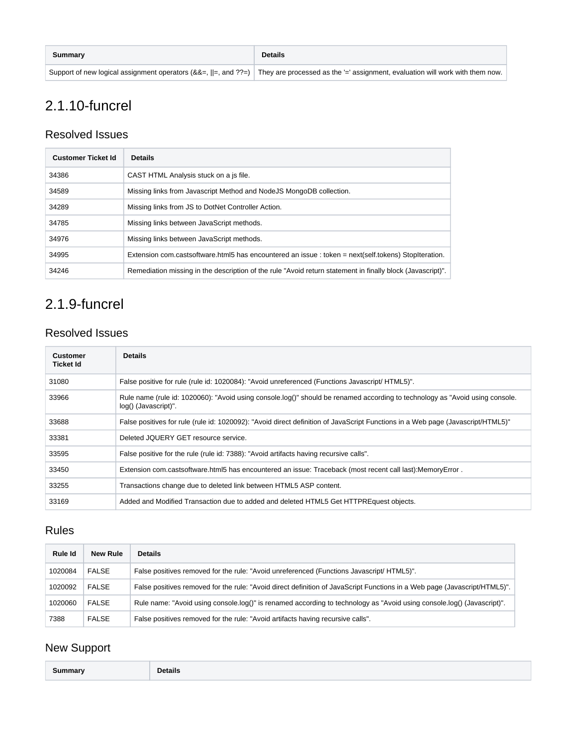| Summary | <b>Details</b>                                                                                                                                         |
|---------|--------------------------------------------------------------------------------------------------------------------------------------------------------|
|         | Support of new logical assignment operators $(8.8=,  =, \text{and } ?=)$ They are processed as the $=$ assignment, evaluation will work with them now. |

# <span id="page-2-0"></span>2.1.10-funcrel

### <span id="page-2-1"></span>Resolved Issues

| <b>Customer Ticket Id</b> | <b>Details</b>                                                                                             |
|---------------------------|------------------------------------------------------------------------------------------------------------|
| 34386                     | CAST HTML Analysis stuck on a is file.                                                                     |
| 34589                     | Missing links from Javascript Method and NodeJS MongoDB collection.                                        |
| 34289                     | Missing links from JS to DotNet Controller Action.                                                         |
| 34785                     | Missing links between JavaScript methods.                                                                  |
| 34976                     | Missing links between JavaScript methods.                                                                  |
| 34995                     | Extension com.castsoftware.html5 has encountered an issue : token = next(self.tokens) StopIteration.       |
| 34246                     | Remediation missing in the description of the rule "Avoid return statement in finally block (Javascript)". |

# <span id="page-2-2"></span>2.1.9-funcrel

## <span id="page-2-3"></span>Resolved Issues

| <b>Customer</b><br><b>Ticket Id</b> | <b>Details</b>                                                                                                                                       |
|-------------------------------------|------------------------------------------------------------------------------------------------------------------------------------------------------|
| 31080                               | False positive for rule (rule id: 1020084): "Avoid unreferenced (Functions Javascript/ HTML5)".                                                      |
| 33966                               | Rule name (rule id: 1020060): "Avoid using console.log()" should be renamed according to technology as "Avoid using console.<br>log() (Javascript)". |
| 33688                               | False positives for rule (rule id: 1020092): "Avoid direct definition of JavaScript Functions in a Web page (Javascript/HTML5)"                      |
| 33381                               | Deleted JQUERY GET resource service.                                                                                                                 |
| 33595                               | False positive for the rule (rule id: 7388): "Avoid artifacts having recursive calls".                                                               |
| 33450                               | Extension com.castsoftware.html5 has encountered an issue: Traceback (most recent call last): Memory Error.                                          |
| 33255                               | Transactions change due to deleted link between HTML5 ASP content.                                                                                   |
| 33169                               | Added and Modified Transaction due to added and deleted HTML5 Get HTTPREquest objects.                                                               |

# <span id="page-2-4"></span>Rules

| Rule Id | <b>New Rule</b> | <b>Details</b>                                                                                                            |
|---------|-----------------|---------------------------------------------------------------------------------------------------------------------------|
| 1020084 | <b>FALSE</b>    | False positives removed for the rule: "Avoid unreferenced (Functions Javascript/ HTML5)".                                 |
| 1020092 | <b>FALSE</b>    | False positives removed for the rule: "Avoid direct definition of JavaScript Functions in a Web page (Javascript/HTML5)". |
| 1020060 | <b>FALSE</b>    | Rule name: "Avoid using console.log()" is renamed according to technology as "Avoid using console.log() (Javascript)".    |
| 7388    | <b>FALSE</b>    | False positives removed for the rule: "Avoid artifacts having recursive calls".                                           |

# <span id="page-2-5"></span>New Support

| ummar, | . .<br><b>Details</b><br>$-$ |
|--------|------------------------------|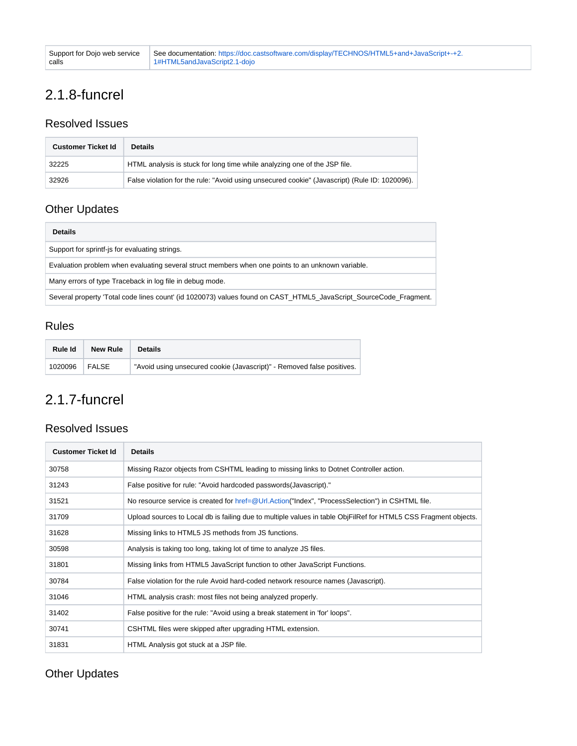# <span id="page-3-0"></span>2.1.8-funcrel

#### <span id="page-3-1"></span>Resolved Issues

| <b>Customer Ticket Id</b> | <b>Details</b>                                                                                |
|---------------------------|-----------------------------------------------------------------------------------------------|
| 32225                     | HTML analysis is stuck for long time while analyzing one of the JSP file.                     |
| 32926                     | False violation for the rule: "Avoid using unsecured cookie" (Javascript) (Rule ID: 1020096). |

## <span id="page-3-2"></span>Other Updates

| <b>Details</b>                                                                                                    |
|-------------------------------------------------------------------------------------------------------------------|
| Support for sprintf-js for evaluating strings.                                                                    |
| Evaluation problem when evaluating several struct members when one points to an unknown variable.                 |
| Many errors of type Traceback in log file in debug mode.                                                          |
| Several property 'Total code lines count' (id 1020073) values found on CAST HTML5 JavaScript SourceCode Fragment. |

### <span id="page-3-3"></span>Rules

| Rule Id | <b>New Rule</b> | <b>Details</b>                                                         |
|---------|-----------------|------------------------------------------------------------------------|
| 1020096 | <b>FALSE</b>    | "Avoid using unsecured cookie (Javascript)" - Removed false positives. |

# <span id="page-3-4"></span>2.1.7-funcrel

#### <span id="page-3-5"></span>Resolved Issues

| <b>Customer Ticket Id</b> | <b>Details</b>                                                                                                  |
|---------------------------|-----------------------------------------------------------------------------------------------------------------|
| 30758                     | Missing Razor objects from CSHTML leading to missing links to Dotnet Controller action.                         |
| 31243                     | False positive for rule: "Avoid hardcoded passwords (Javascript)."                                              |
| 31521                     | No resource service is created for href=@Url.Action("Index", "ProcessSelection") in CSHTML file.                |
| 31709                     | Upload sources to Local db is failing due to multiple values in table ObjFilRef for HTML5 CSS Fragment objects. |
| 31628                     | Missing links to HTML5 JS methods from JS functions.                                                            |
| 30598                     | Analysis is taking too long, taking lot of time to analyze JS files.                                            |
| 31801                     | Missing links from HTML5 JavaScript function to other JavaScript Functions.                                     |
| 30784                     | False violation for the rule Avoid hard-coded network resource names (Javascript).                              |
| 31046                     | HTML analysis crash: most files not being analyzed properly.                                                    |
| 31402                     | False positive for the rule: "Avoid using a break statement in 'for' loops".                                    |
| 30741                     | CSHTML files were skipped after upgrading HTML extension.                                                       |
| 31831                     | HTML Analysis got stuck at a JSP file.                                                                          |

### <span id="page-3-6"></span>Other Updates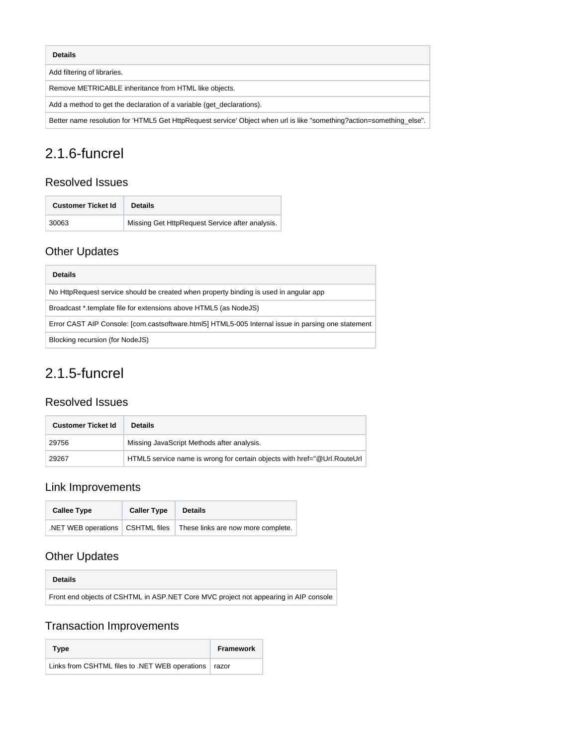| <b>Details</b>                                                                                                        |
|-----------------------------------------------------------------------------------------------------------------------|
| Add filtering of libraries.                                                                                           |
| Remove METRICABLE inheritance from HTML like objects.                                                                 |
| Add a method to get the declaration of a variable (get declarations).                                                 |
| Better name resolution for 'HTML5 Get HttpRequest service' Object when url is like "something?action=something else". |

# <span id="page-4-0"></span>2.1.6-funcrel

## <span id="page-4-1"></span>Resolved Issues

| <b>Customer Ticket Id</b> | <b>Details</b>                                  |
|---------------------------|-------------------------------------------------|
| 30063                     | Missing Get HttpRequest Service after analysis. |

# <span id="page-4-2"></span>Other Updates

| <b>Details</b>                                                                                     |
|----------------------------------------------------------------------------------------------------|
| No HttpRequest service should be created when property binding is used in angular app              |
| Broadcast *.template file for extensions above HTML5 (as NodeJS)                                   |
| Error CAST AIP Console: [com.castsoftware.html5] HTML5-005 Internal issue in parsing one statement |
| Blocking recursion (for NodeJS)                                                                    |

# <span id="page-4-3"></span>2.1.5-funcrel

### <span id="page-4-4"></span>Resolved Issues

| <b>Customer Ticket Id</b> | <b>Details</b>                                                           |
|---------------------------|--------------------------------------------------------------------------|
| 29756                     | Missing JavaScript Methods after analysis.                               |
| 29267                     | HTML5 service name is wrong for certain objects with href="@Url.RouteUrl |

## <span id="page-4-5"></span>Link Improvements

| <b>Callee Type</b>                | <b>Caller Type</b> | <b>Details</b>                     |
|-----------------------------------|--------------------|------------------------------------|
| NET WEB operations   CSHTML files |                    | These links are now more complete. |

# <span id="page-4-6"></span>Other Updates

| Details                                                                              |
|--------------------------------------------------------------------------------------|
| Front end objects of CSHTML in ASP.NET Core MVC project not appearing in AIP console |

### <span id="page-4-7"></span>Transaction Improvements

<span id="page-4-8"></span>

| Type                                                   | <b>Framework</b> |
|--------------------------------------------------------|------------------|
| Links from CSHTML files to .NET WEB operations   razor |                  |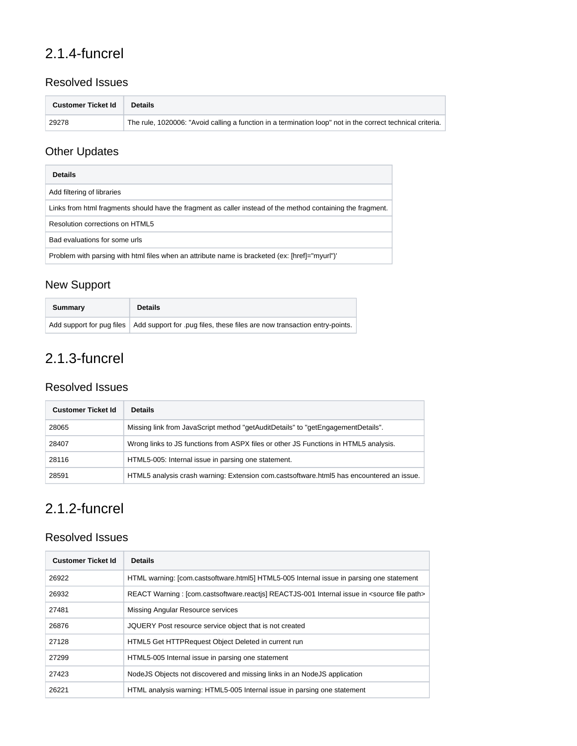# 2.1.4-funcrel

### <span id="page-5-0"></span>Resolved Issues

| <b>Customer Ticket Id</b> | Details                                                                                                    |
|---------------------------|------------------------------------------------------------------------------------------------------------|
| 29278                     | The rule, 1020006: "Avoid calling a function in a termination loop" not in the correct technical criteria. |

# <span id="page-5-1"></span>Other Updates

| <b>Details</b>                                                                                              |
|-------------------------------------------------------------------------------------------------------------|
| Add filtering of libraries                                                                                  |
| Links from html fragments should have the fragment as caller instead of the method containing the fragment. |
| Resolution corrections on HTML5                                                                             |
| Bad evaluations for some urls                                                                               |
| Problem with parsing with html files when an attribute name is bracketed (ex: [href]="myurl")'              |

# <span id="page-5-2"></span>New Support

| Summary | <b>Details</b>                                                                                        |
|---------|-------------------------------------------------------------------------------------------------------|
|         | Add support for pug files   Add support for .pug files, these files are now transaction entry-points. |

# <span id="page-5-3"></span>2.1.3-funcrel

#### <span id="page-5-4"></span>Resolved Issues

| <b>Customer Ticket Id</b> | <b>Details</b>                                                                           |
|---------------------------|------------------------------------------------------------------------------------------|
| 28065                     | Missing link from JavaScript method "getAuditDetails" to "getEngagementDetails".         |
| 28407                     | Wrong links to JS functions from ASPX files or other JS Functions in HTML5 analysis.     |
| 28116                     | HTML5-005: Internal issue in parsing one statement.                                      |
| 28591                     | HTML5 analysis crash warning: Extension com.castsoftware.html5 has encountered an issue. |

# <span id="page-5-5"></span>2.1.2-funcrel

### <span id="page-5-6"></span>Resolved Issues

<span id="page-5-7"></span>

| <b>Customer Ticket Id</b> | <b>Details</b>                                                                                    |
|---------------------------|---------------------------------------------------------------------------------------------------|
| 26922                     | HTML warning: [com.castsoftware.html5] HTML5-005 Internal issue in parsing one statement          |
| 26932                     | REACT Warning: [com.castsoftware.reactis] REACTJS-001 Internal issue in <source file="" path=""/> |
| 27481                     | Missing Angular Resource services                                                                 |
| 26876                     | JQUERY Post resource service object that is not created                                           |
| 27128                     | HTML5 Get HTTPRequest Object Deleted in current run                                               |
| 27299                     | HTML5-005 Internal issue in parsing one statement                                                 |
| 27423                     | NodeJS Objects not discovered and missing links in an NodeJS application                          |
| 26221                     | HTML analysis warning: HTML5-005 Internal issue in parsing one statement                          |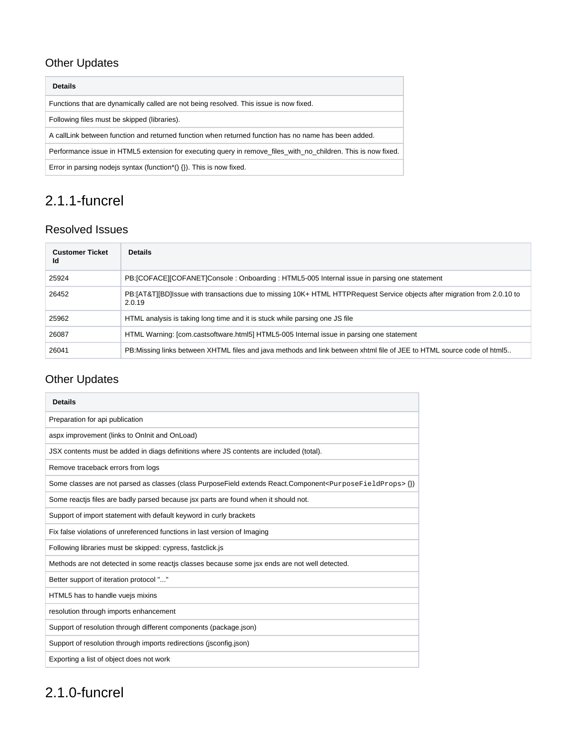# Other Updates

| <b>Details</b>                                                                                                |  |
|---------------------------------------------------------------------------------------------------------------|--|
| Functions that are dynamically called are not being resolved. This issue is now fixed.                        |  |
| Following files must be skipped (libraries).                                                                  |  |
| A callLink between function and returned function when returned function has no name has been added.          |  |
| Performance issue in HTML5 extension for executing query in remove_files_with_no_children. This is now fixed. |  |
| Error in parsing node is syntax (function <sup>*</sup> () $\{ \}$ ). This is now fixed.                       |  |

# <span id="page-6-0"></span>2.1.1-funcrel

# <span id="page-6-1"></span>Resolved Issues

| <b>Customer Ticket</b><br>Id | <b>Details</b>                                                                                                                      |
|------------------------------|-------------------------------------------------------------------------------------------------------------------------------------|
| 25924                        | PB: [COFACE] [COFANET] Console: Onboarding: HTML5-005 Internal issue in parsing one statement                                       |
| 26452                        | PB: [AT&T][BD]Issue with transactions due to missing 10K+ HTML HTTPRequest Service objects after migration from 2.0.10 to<br>2.0.19 |
| 25962                        | HTML analysis is taking long time and it is stuck while parsing one JS file                                                         |
| 26087                        | HTML Warning: [com.castsoftware.html5] HTML5-005 Internal issue in parsing one statement                                            |
| 26041                        | PB: Missing links between XHTML files and java methods and link between xhtml file of JEE to HTML source code of html5              |

# <span id="page-6-2"></span>Other Updates

| <b>Details</b>                                                                                                                 |
|--------------------------------------------------------------------------------------------------------------------------------|
| Preparation for api publication                                                                                                |
| aspx improvement (links to Onlnit and OnLoad)                                                                                  |
| JSX contents must be added in diags definitions where JS contents are included (total).                                        |
| Remove traceback errors from logs                                                                                              |
| Some classes are not parsed as classes (class PurposeField extends React.Component <purposefieldprops> {})</purposefieldprops> |
| Some reactis files are badly parsed because jsx parts are found when it should not.                                            |
| Support of import statement with default keyword in curly brackets                                                             |
| Fix false violations of unreferenced functions in last version of Imaging                                                      |
| Following libraries must be skipped: cypress, fastclick.js                                                                     |
| Methods are not detected in some reactis classes because some jsx ends are not well detected.                                  |
| Better support of iteration protocol ""                                                                                        |
| HTML5 has to handle vuejs mixins                                                                                               |
| resolution through imports enhancement                                                                                         |
| Support of resolution through different components (package.json)                                                              |
| Support of resolution through imports redirections (jsconfig.json)                                                             |
| Exporting a list of object does not work                                                                                       |

# <span id="page-6-4"></span><span id="page-6-3"></span>2.1.0-funcrel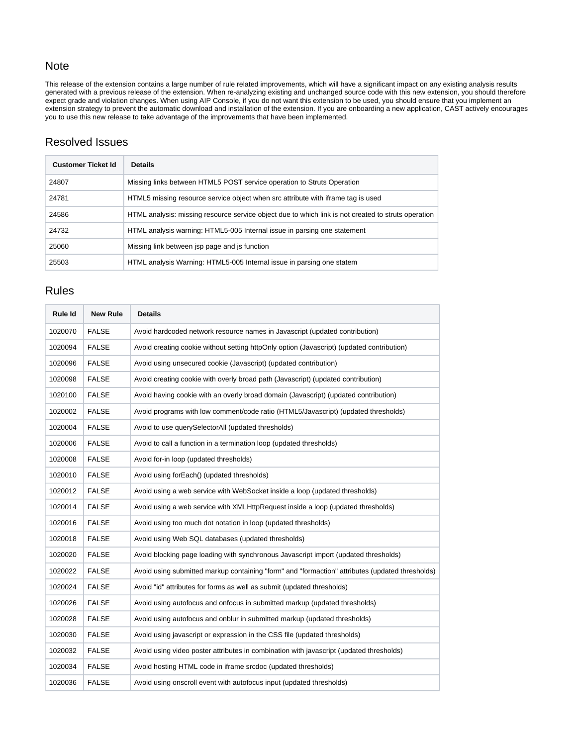#### Note

This release of the extension contains a large number of rule related improvements, which will have a significant impact on any existing analysis results generated with a previous release of the extension. When re-analyzing existing and unchanged source code with this new extension, you should therefore expect grade and violation changes. When using AIP Console, if you do not want this extension to be used, you should ensure that you implement an extension strategy to prevent the automatic download and installation of the extension. If you are onboarding a new application, CAST actively encourages you to use this new release to take advantage of the improvements that have been implemented.

### <span id="page-7-0"></span>Resolved Issues

| <b>Customer Ticket Id</b> | <b>Details</b>                                                                                      |
|---------------------------|-----------------------------------------------------------------------------------------------------|
| 24807                     | Missing links between HTML5 POST service operation to Struts Operation                              |
| 24781                     | HTML5 missing resource service object when src attribute with iframe tag is used                    |
| 24586                     | HTML analysis: missing resource service object due to which link is not created to struts operation |
| 24732                     | HTML analysis warning: HTML5-005 Internal issue in parsing one statement                            |
| 25060                     | Missing link between jsp page and js function                                                       |
| 25503                     | HTML analysis Warning: HTML5-005 Internal issue in parsing one statem                               |

#### <span id="page-7-1"></span>Rules

| Rule Id | <b>New Rule</b> | <b>Details</b>                                                                                  |
|---------|-----------------|-------------------------------------------------------------------------------------------------|
| 1020070 | <b>FALSE</b>    | Avoid hardcoded network resource names in Javascript (updated contribution)                     |
| 1020094 | <b>FALSE</b>    | Avoid creating cookie without setting httpOnly option (Javascript) (updated contribution)       |
| 1020096 | <b>FALSE</b>    | Avoid using unsecured cookie (Javascript) (updated contribution)                                |
| 1020098 | <b>FALSE</b>    | Avoid creating cookie with overly broad path (Javascript) (updated contribution)                |
| 1020100 | <b>FALSE</b>    | Avoid having cookie with an overly broad domain (Javascript) (updated contribution)             |
| 1020002 | <b>FALSE</b>    | Avoid programs with low comment/code ratio (HTML5/Javascript) (updated thresholds)              |
| 1020004 | <b>FALSE</b>    | Avoid to use querySelectorAll (updated thresholds)                                              |
| 1020006 | <b>FALSE</b>    | Avoid to call a function in a termination loop (updated thresholds)                             |
| 1020008 | <b>FALSE</b>    | Avoid for-in loop (updated thresholds)                                                          |
| 1020010 | <b>FALSE</b>    | Avoid using forEach() (updated thresholds)                                                      |
| 1020012 | <b>FALSE</b>    | Avoid using a web service with WebSocket inside a loop (updated thresholds)                     |
| 1020014 | <b>FALSE</b>    | Avoid using a web service with XMLHttpRequest inside a loop (updated thresholds)                |
| 1020016 | <b>FALSE</b>    | Avoid using too much dot notation in loop (updated thresholds)                                  |
| 1020018 | <b>FALSE</b>    | Avoid using Web SQL databases (updated thresholds)                                              |
| 1020020 | <b>FALSE</b>    | Avoid blocking page loading with synchronous Javascript import (updated thresholds)             |
| 1020022 | <b>FALSE</b>    | Avoid using submitted markup containing "form" and "formaction" attributes (updated thresholds) |
| 1020024 | <b>FALSE</b>    | Avoid "id" attributes for forms as well as submit (updated thresholds)                          |
| 1020026 | <b>FALSE</b>    | Avoid using autofocus and onfocus in submitted markup (updated thresholds)                      |
| 1020028 | <b>FALSE</b>    | Avoid using autofocus and onblur in submitted markup (updated thresholds)                       |
| 1020030 | <b>FALSE</b>    | Avoid using javascript or expression in the CSS file (updated thresholds)                       |
| 1020032 | <b>FALSE</b>    | Avoid using video poster attributes in combination with javascript (updated thresholds)         |
| 1020034 | <b>FALSE</b>    | Avoid hosting HTML code in iframe srcdoc (updated thresholds)                                   |
| 1020036 | <b>FALSE</b>    | Avoid using onscroll event with autofocus input (updated thresholds)                            |